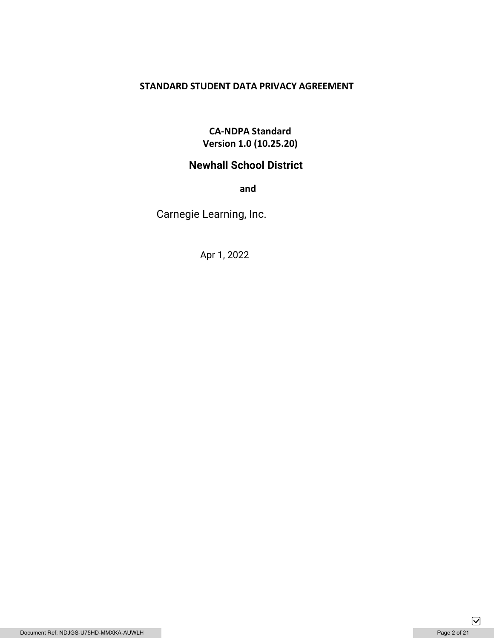# **STANDARD STUDENT DATA PRIVACY AGREEMENT**

# **CA-NDPA Standard Version 1.0 (10.25.20)**

# **Newhall School District**

**and** 

Carnegie Learning, Inc.

Apr 1, 2022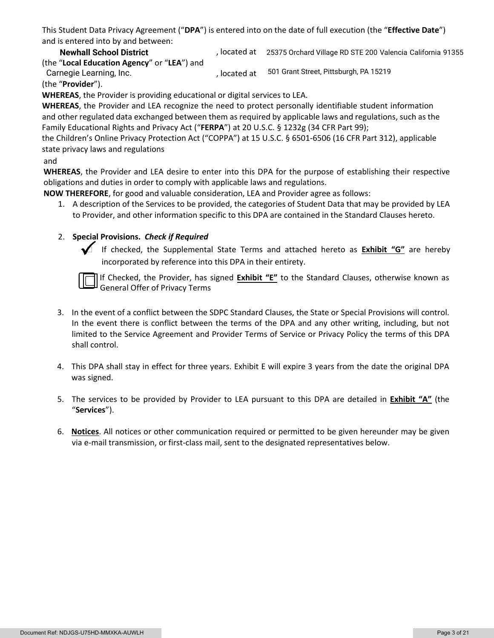This Student Data Privacy Agreement ("**DPA**") is entered into on the date of full execution (the "**Effective Date**") and is entered into by and between:

**Newhall School District 25375 Orchard Village RD STE 200 Valencia California 91355** (the "**Local Education Agency**" or "**LEA**") and

Carnegie Learning, Inc. **602 and Street, Pittsburgh, PA 15219** (Carnegie Learning, Inc. (the "**Provider**").

**WHEREAS**, the Provider is providing educational or digital services to LEA.

**WHEREAS**, the Provider and LEA recognize the need to protect personally identifiable student information and other regulated data exchanged between them as required by applicable laws and regulations, such as the Family Educational Rights and Privacy Act ("**FERPA**") at 20 U.S.C. § 1232g (34 CFR Part 99);

the Children's Online Privacy Protection Act ("COPPA") at 15 U.S.C. § 6501-6506 (16 CFR Part 312), applicable state privacy laws and regulations

### and

**WHEREAS**, the Provider and LEA desire to enter into this DPA for the purpose of establishing their respective obligations and duties in order to comply with applicable laws and regulations.

**NOW THEREFORE**, for good and valuable consideration, LEA and Provider agree as follows:

1. A description of the Services to be provided, the categories of Student Data that may be provided by LEA to Provider, and other information specific to this DPA are contained in the Standard Clauses hereto.

## 2. **Special Provisions.** *Check if Required*

 If checked, the Supplemental State Terms and attached hereto as **Exhibit "G"** are hereby incorporated by reference into this DPA in their entirety.

If Checked, the Provider, has signed **Exhibit "E"** to the Standard Clauses, otherwise known as General Offer of Privacy Terms

- 3. In the event of a conflict between the SDPC Standard Clauses, the State or Special Provisions will control. In the event there is conflict between the terms of the DPA and any other writing, including, but not limited to the Service Agreement and Provider Terms of Service or Privacy Policy the terms of this DPA shall control.
- 4. This DPA shall stay in effect for three years. Exhibit E will expire 3 years from the date the original DPA was signed.
- 5. The services to be provided by Provider to LEA pursuant to this DPA are detailed in **Exhibit "A"** (the "**Services**").
- 6. **Notices**. All notices or other communication required or permitted to be given hereunder may be given via e-mail transmission, or first-class mail, sent to the designated representatives below.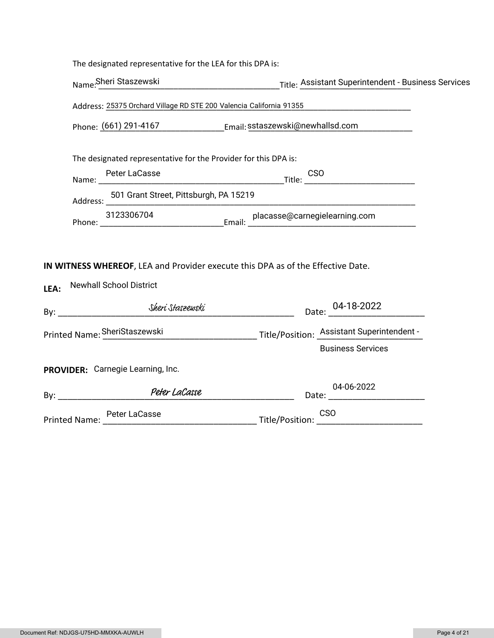|      | The designated representative for the LEA for this DPA is:                                                        |                                                                           |  |  |  |
|------|-------------------------------------------------------------------------------------------------------------------|---------------------------------------------------------------------------|--|--|--|
|      |                                                                                                                   | Name:Sheri Staszewski Title: Assistant Superintendent - Business Services |  |  |  |
|      | Address: 25375 Orchard Village RD STE 200 Valencia California 91355 [1986] [1986] [1986] Address: 25375 Orchard   |                                                                           |  |  |  |
|      | Phone: (661) 291-4167 [Email: sstaszewski@newhallsd.com                                                           |                                                                           |  |  |  |
|      | The designated representative for the Provider for this DPA is:                                                   |                                                                           |  |  |  |
|      |                                                                                                                   |                                                                           |  |  |  |
|      | Address: 501 Grant Street, Pittsburgh, PA 15219                                                                   |                                                                           |  |  |  |
|      |                                                                                                                   |                                                                           |  |  |  |
| LEA: | IN WITNESS WHEREOF, LEA and Provider execute this DPA as of the Effective Date.<br><b>Newhall School District</b> |                                                                           |  |  |  |
|      |                                                                                                                   | Date: 04-18-2022                                                          |  |  |  |
|      | Printed Name: SheriStaszewski Title/Position: Assistant Superintendent -                                          |                                                                           |  |  |  |
|      |                                                                                                                   | <b>Business Services</b>                                                  |  |  |  |
|      | PROVIDER: Carnegie Learning, Inc.                                                                                 |                                                                           |  |  |  |
|      | By: Peter LaCasse                                                                                                 | 04-06-2022                                                                |  |  |  |
|      | Printed Name: Peter LaCasse CSO CSO CSO CSO CSO COMPUTER CSO                                                      |                                                                           |  |  |  |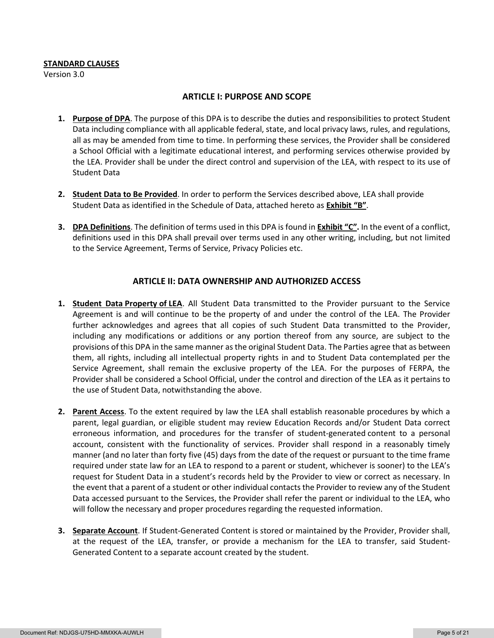#### **STANDARD CLAUSES**

Version 3.0

#### **ARTICLE I: PURPOSE AND SCOPE**

- **1. Purpose of DPA**. The purpose of this DPA is to describe the duties and responsibilities to protect Student Data including compliance with all applicable federal, state, and local privacy laws, rules, and regulations, all as may be amended from time to time. In performing these services, the Provider shall be considered a School Official with a legitimate educational interest, and performing services otherwise provided by the LEA. Provider shall be under the direct control and supervision of the LEA, with respect to its use of Student Data
- **2. Student Data to Be Provided**. In order to perform the Services described above, LEA shall provide Student Data as identified in the Schedule of Data, attached hereto as **Exhibit "B"**.
- **3. DPA Definitions**. The definition of terms used in this DPA is found in **Exhibit "C".** In the event of a conflict, definitions used in this DPA shall prevail over terms used in any other writing, including, but not limited to the Service Agreement, Terms of Service, Privacy Policies etc.

### **ARTICLE II: DATA OWNERSHIP AND AUTHORIZED ACCESS**

- **1. Student Data Property of LEA**. All Student Data transmitted to the Provider pursuant to the Service Agreement is and will continue to be the property of and under the control of the LEA. The Provider further acknowledges and agrees that all copies of such Student Data transmitted to the Provider, including any modifications or additions or any portion thereof from any source, are subject to the provisions of this DPA in the same manner as the original Student Data. The Parties agree that as between them, all rights, including all intellectual property rights in and to Student Data contemplated per the Service Agreement, shall remain the exclusive property of the LEA. For the purposes of FERPA, the Provider shall be considered a School Official, under the control and direction of the LEA as it pertains to the use of Student Data, notwithstanding the above.
- **2. Parent Access**. To the extent required by law the LEA shall establish reasonable procedures by which a parent, legal guardian, or eligible student may review Education Records and/or Student Data correct erroneous information, and procedures for the transfer of student-generated content to a personal account, consistent with the functionality of services. Provider shall respond in a reasonably timely manner (and no later than forty five (45) days from the date of the request or pursuant to the time frame required under state law for an LEA to respond to a parent or student, whichever is sooner) to the LEA's request for Student Data in a student's records held by the Provider to view or correct as necessary. In the event that a parent of a student or other individual contacts the Provider to review any of the Student Data accessed pursuant to the Services, the Provider shall refer the parent or individual to the LEA, who will follow the necessary and proper procedures regarding the requested information.
- **3. Separate Account**. If Student-Generated Content is stored or maintained by the Provider, Provider shall, at the request of the LEA, transfer, or provide a mechanism for the LEA to transfer, said Student-Generated Content to a separate account created by the student.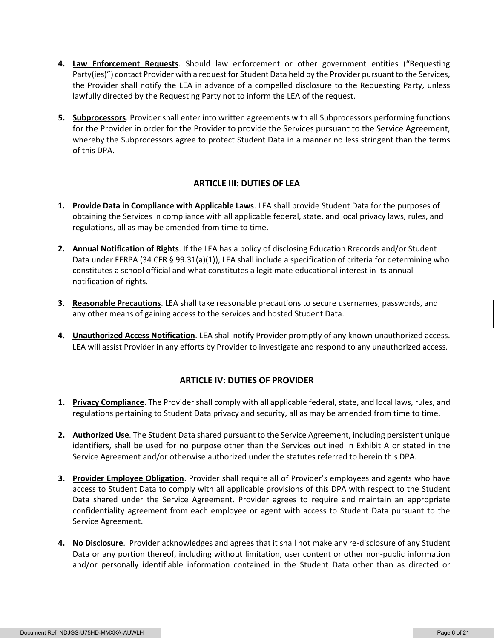- **4. Law Enforcement Requests**. Should law enforcement or other government entities ("Requesting Party(ies)") contact Provider with a request for Student Data held by the Provider pursuant to the Services, the Provider shall notify the LEA in advance of a compelled disclosure to the Requesting Party, unless lawfully directed by the Requesting Party not to inform the LEA of the request.
- **5. Subprocessors**. Provider shall enter into written agreements with all Subprocessors performing functions for the Provider in order for the Provider to provide the Services pursuant to the Service Agreement, whereby the Subprocessors agree to protect Student Data in a manner no less stringent than the terms of this DPA.

### **ARTICLE III: DUTIES OF LEA**

- **1. Provide Data in Compliance with Applicable Laws**. LEA shall provide Student Data for the purposes of obtaining the Services in compliance with all applicable federal, state, and local privacy laws, rules, and regulations, all as may be amended from time to time.
- **2. Annual Notification of Rights**. If the LEA has a policy of disclosing Education Rrecords and/or Student Data under FERPA (34 CFR § 99.31(a)(1)), LEA shall include a specification of criteria for determining who constitutes a school official and what constitutes a legitimate educational interest in its annual notification of rights.
- **3. Reasonable Precautions**. LEA shall take reasonable precautions to secure usernames, passwords, and any other means of gaining access to the services and hosted Student Data.
- **4. Unauthorized Access Notification**. LEA shall notify Provider promptly of any known unauthorized access. LEA will assist Provider in any efforts by Provider to investigate and respond to any unauthorized access.

### **ARTICLE IV: DUTIES OF PROVIDER**

- **1. Privacy Compliance**. The Provider shall comply with all applicable federal, state, and local laws, rules, and regulations pertaining to Student Data privacy and security, all as may be amended from time to time.
- **2. Authorized Use**. The Student Data shared pursuant to the Service Agreement, including persistent unique identifiers, shall be used for no purpose other than the Services outlined in Exhibit A or stated in the Service Agreement and/or otherwise authorized under the statutes referred to herein this DPA.
- **3. Provider Employee Obligation**. Provider shall require all of Provider's employees and agents who have access to Student Data to comply with all applicable provisions of this DPA with respect to the Student Data shared under the Service Agreement. Provider agrees to require and maintain an appropriate confidentiality agreement from each employee or agent with access to Student Data pursuant to the Service Agreement.
- **4. No Disclosure**. Provider acknowledges and agrees that it shall not make any re-disclosure of any Student Data or any portion thereof, including without limitation, user content or other non-public information and/or personally identifiable information contained in the Student Data other than as directed or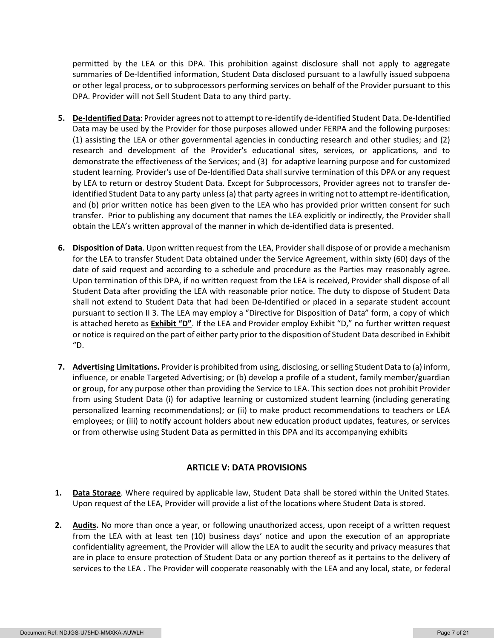permitted by the LEA or this DPA. This prohibition against disclosure shall not apply to aggregate summaries of De-Identified information, Student Data disclosed pursuant to a lawfully issued subpoena or other legal process, or to subprocessors performing services on behalf of the Provider pursuant to this DPA. Provider will not Sell Student Data to any third party.

- **5. De-Identified Data**: Provider agrees not to attempt to re-identify de-identified Student Data. De-Identified Data may be used by the Provider for those purposes allowed under FERPA and the following purposes: (1) assisting the LEA or other governmental agencies in conducting research and other studies; and (2) research and development of the Provider's educational sites, services, or applications, and to demonstrate the effectiveness of the Services; and (3) for adaptive learning purpose and for customized student learning. Provider's use of De-Identified Data shall survive termination of this DPA or any request by LEA to return or destroy Student Data. Except for Subprocessors, Provider agrees not to transfer deidentified Student Data to any party unless (a) that party agrees in writing not to attempt re-identification, and (b) prior written notice has been given to the LEA who has provided prior written consent for such transfer. Prior to publishing any document that names the LEA explicitly or indirectly, the Provider shall obtain the LEA's written approval of the manner in which de-identified data is presented.
- **6. Disposition of Data**. Upon written request from the LEA, Provider shall dispose of or provide a mechanism for the LEA to transfer Student Data obtained under the Service Agreement, within sixty (60) days of the date of said request and according to a schedule and procedure as the Parties may reasonably agree. Upon termination of this DPA, if no written request from the LEA is received, Provider shall dispose of all Student Data after providing the LEA with reasonable prior notice. The duty to dispose of Student Data shall not extend to Student Data that had been De-Identified or placed in a separate student account pursuant to section II 3. The LEA may employ a "Directive for Disposition of Data" form, a copy of which is attached hereto as **Exhibit "D"**. If the LEA and Provider employ Exhibit "D," no further written request or notice is required on the part of either party prior to the disposition of Student Data described in Exhibit  $"D.$
- **7. Advertising Limitations.** Provider is prohibited from using, disclosing, or selling Student Data to (a) inform, influence, or enable Targeted Advertising; or (b) develop a profile of a student, family member/guardian or group, for any purpose other than providing the Service to LEA. This section does not prohibit Provider from using Student Data (i) for adaptive learning or customized student learning (including generating personalized learning recommendations); or (ii) to make product recommendations to teachers or LEA employees; or (iii) to notify account holders about new education product updates, features, or services or from otherwise using Student Data as permitted in this DPA and its accompanying exhibits

### **ARTICLE V: DATA PROVISIONS**

- **1. Data Storage**. Where required by applicable law, Student Data shall be stored within the United States. Upon request of the LEA, Provider will provide a list of the locations where Student Data is stored.
- **2. Audits.** No more than once a year, or following unauthorized access, upon receipt of a written request from the LEA with at least ten (10) business days' notice and upon the execution of an appropriate confidentiality agreement, the Provider will allow the LEA to audit the security and privacy measures that are in place to ensure protection of Student Data or any portion thereof as it pertains to the delivery of services to the LEA . The Provider will cooperate reasonably with the LEA and any local, state, or federal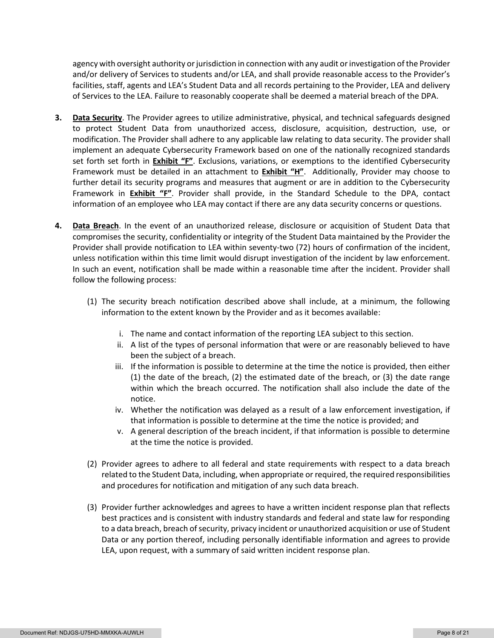agency with oversight authority or jurisdiction in connection with any audit or investigation of the Provider and/or delivery of Services to students and/or LEA, and shall provide reasonable access to the Provider's facilities, staff, agents and LEA's Student Data and all records pertaining to the Provider, LEA and delivery of Services to the LEA. Failure to reasonably cooperate shall be deemed a material breach of the DPA.

- **3. Data Security**. The Provider agrees to utilize administrative, physical, and technical safeguards designed to protect Student Data from unauthorized access, disclosure, acquisition, destruction, use, or modification. The Provider shall adhere to any applicable law relating to data security. The provider shall implement an adequate Cybersecurity Framework based on one of the nationally recognized standards set forth set forth in **Exhibit "F"**. Exclusions, variations, or exemptions to the identified Cybersecurity Framework must be detailed in an attachment to **Exhibit "H"**. Additionally, Provider may choose to further detail its security programs and measures that augment or are in addition to the Cybersecurity Framework in **Exhibit "F"**. Provider shall provide, in the Standard Schedule to the DPA, contact information of an employee who LEA may contact if there are any data security concerns or questions.
- **4. Data Breach**. In the event of an unauthorized release, disclosure or acquisition of Student Data that compromises the security, confidentiality or integrity of the Student Data maintained by the Provider the Provider shall provide notification to LEA within seventy-two (72) hours of confirmation of the incident, unless notification within this time limit would disrupt investigation of the incident by law enforcement. In such an event, notification shall be made within a reasonable time after the incident. Provider shall follow the following process:
	- (1) The security breach notification described above shall include, at a minimum, the following information to the extent known by the Provider and as it becomes available:
		- i. The name and contact information of the reporting LEA subject to this section.
		- ii. A list of the types of personal information that were or are reasonably believed to have been the subject of a breach.
		- iii. If the information is possible to determine at the time the notice is provided, then either (1) the date of the breach, (2) the estimated date of the breach, or (3) the date range within which the breach occurred. The notification shall also include the date of the notice.
		- iv. Whether the notification was delayed as a result of a law enforcement investigation, if that information is possible to determine at the time the notice is provided; and
		- v. A general description of the breach incident, if that information is possible to determine at the time the notice is provided.
	- (2) Provider agrees to adhere to all federal and state requirements with respect to a data breach related to the Student Data, including, when appropriate or required, the required responsibilities and procedures for notification and mitigation of any such data breach.
	- (3) Provider further acknowledges and agrees to have a written incident response plan that reflects best practices and is consistent with industry standards and federal and state law for responding to a data breach, breach of security, privacy incident or unauthorized acquisition or use of Student Data or any portion thereof, including personally identifiable information and agrees to provide LEA, upon request, with a summary of said written incident response plan.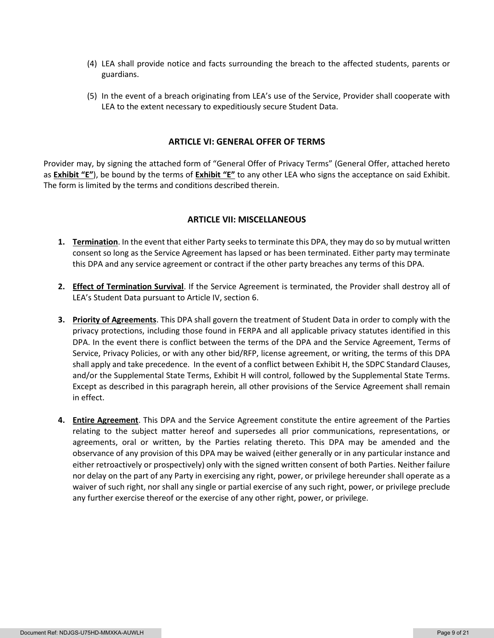- (4) LEA shall provide notice and facts surrounding the breach to the affected students, parents or guardians.
- (5) In the event of a breach originating from LEA's use of the Service, Provider shall cooperate with LEA to the extent necessary to expeditiously secure Student Data.

#### **ARTICLE VI: GENERAL OFFER OF TERMS**

Provider may, by signing the attached form of "General Offer of Privacy Terms" (General Offer, attached hereto as **Exhibit "E"**), be bound by the terms of **Exhibit "E"** to any other LEA who signs the acceptance on said Exhibit. The form is limited by the terms and conditions described therein.

#### **ARTICLE VII: MISCELLANEOUS**

- **1. Termination**. In the event that either Party seeks to terminate this DPA, they may do so by mutual written consent so long as the Service Agreement has lapsed or has been terminated. Either party may terminate this DPA and any service agreement or contract if the other party breaches any terms of this DPA.
- **2. Effect of Termination Survival**. If the Service Agreement is terminated, the Provider shall destroy all of LEA's Student Data pursuant to Article IV, section 6.
- **3. Priority of Agreements**. This DPA shall govern the treatment of Student Data in order to comply with the privacy protections, including those found in FERPA and all applicable privacy statutes identified in this DPA. In the event there is conflict between the terms of the DPA and the Service Agreement, Terms of Service, Privacy Policies, or with any other bid/RFP, license agreement, or writing, the terms of this DPA shall apply and take precedence. In the event of a conflict between Exhibit H, the SDPC Standard Clauses, and/or the Supplemental State Terms, Exhibit H will control, followed by the Supplemental State Terms. Except as described in this paragraph herein, all other provisions of the Service Agreement shall remain in effect.
- **4. Entire Agreement**. This DPA and the Service Agreement constitute the entire agreement of the Parties relating to the subject matter hereof and supersedes all prior communications, representations, or agreements, oral or written, by the Parties relating thereto. This DPA may be amended and the observance of any provision of this DPA may be waived (either generally or in any particular instance and either retroactively or prospectively) only with the signed written consent of both Parties. Neither failure nor delay on the part of any Party in exercising any right, power, or privilege hereunder shall operate as a waiver of such right, nor shall any single or partial exercise of any such right, power, or privilege preclude any further exercise thereof or the exercise of any other right, power, or privilege.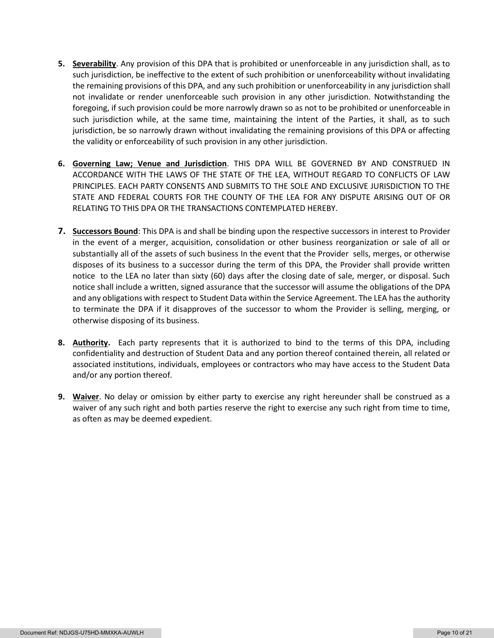- **5. Severability**. Any provision of this DPA that is prohibited or unenforceable in any jurisdiction shall, as to such jurisdiction, be ineffective to the extent of such prohibition or unenforceability without invalidating the remaining provisions of this DPA, and any such prohibition or unenforceability in any jurisdiction shall not invalidate or render unenforceable such provision in any other jurisdiction. Notwithstanding the foregoing, if such provision could be more narrowly drawn so as not to be prohibited or unenforceable in such jurisdiction while, at the same time, maintaining the intent of the Parties, it shall, as to such jurisdiction, be so narrowly drawn without invalidating the remaining provisions of this DPA or affecting the validity or enforceability of such provision in any other jurisdiction.
- **6. Governing Law; Venue and Jurisdiction**. THIS DPA WILL BE GOVERNED BY AND CONSTRUED IN ACCORDANCE WITH THE LAWS OF THE STATE OF THE LEA, WITHOUT REGARD TO CONFLICTS OF LAW PRINCIPLES. EACH PARTY CONSENTS AND SUBMITS TO THE SOLE AND EXCLUSIVE JURISDICTION TO THE STATE AND FEDERAL COURTS FOR THE COUNTY OF THE LEA FOR ANY DISPUTE ARISING OUT OF OR RELATING TO THIS DPA OR THE TRANSACTIONS CONTEMPLATED HEREBY.
- **7. Successors Bound**: This DPA is and shall be binding upon the respective successors in interest to Provider in the event of a merger, acquisition, consolidation or other business reorganization or sale of all or substantially all of the assets of such business In the event that the Provider sells, merges, or otherwise disposes of its business to a successor during the term of this DPA, the Provider shall provide written notice to the LEA no later than sixty (60) days after the closing date of sale, merger, or disposal. Such notice shall include a written, signed assurance that the successor will assume the obligations of the DPA and any obligations with respect to Student Data within the Service Agreement. The LEA has the authority to terminate the DPA if it disapproves of the successor to whom the Provider is selling, merging, or otherwise disposing of its business.
- **8. Authority.** Each party represents that it is authorized to bind to the terms of this DPA, including confidentiality and destruction of Student Data and any portion thereof contained therein, all related or associated institutions, individuals, employees or contractors who may have access to the Student Data and/or any portion thereof.
- **9. Waiver**. No delay or omission by either party to exercise any right hereunder shall be construed as a waiver of any such right and both parties reserve the right to exercise any such right from time to time, as often as may be deemed expedient.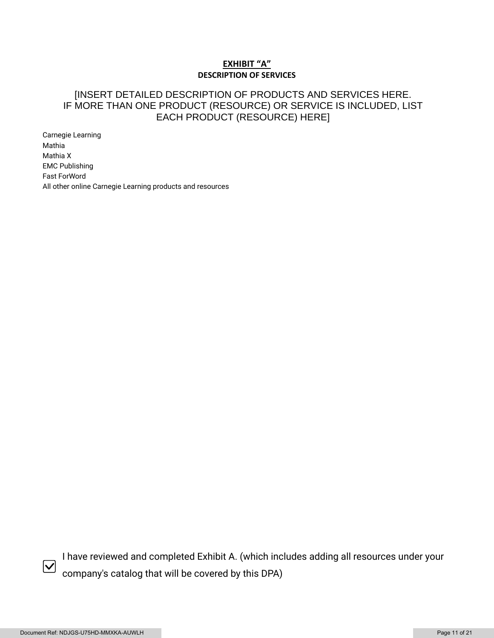### **EXHIBIT "A" DESCRIPTION OF SERVICES**

# [INSERT DETAILED DESCRIPTION OF PRODUCTS AND SERVICES HERE. IF MORE THAN ONE PRODUCT (RESOURCE) OR SERVICE IS INCLUDED, LIST EACH PRODUCT (RESOURCE) HERE]

Carnegie Learning Mathia Mathia X EMC Publishing Fast ForWord All other online Carnegie Learning products and resources



I have reviewed and completed Exhibit A. (which includes adding all resources under your company's catalog that will be covered by this DPA)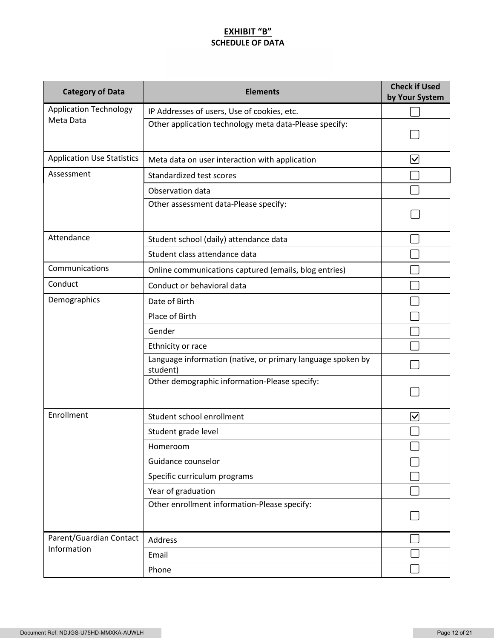# **EXHIBIT "B" SCHEDULE OF DATA**

| <b>Category of Data</b>           | <b>Elements</b>                                                         | <b>Check if Used</b><br>by Your System |
|-----------------------------------|-------------------------------------------------------------------------|----------------------------------------|
| <b>Application Technology</b>     | IP Addresses of users, Use of cookies, etc.                             |                                        |
| Meta Data                         | Other application technology meta data-Please specify:                  |                                        |
| <b>Application Use Statistics</b> | Meta data on user interaction with application                          | $\blacktriangledown$                   |
| Assessment                        | Standardized test scores                                                |                                        |
|                                   | Observation data                                                        |                                        |
|                                   | Other assessment data-Please specify:                                   |                                        |
| Attendance                        | Student school (daily) attendance data                                  |                                        |
|                                   | Student class attendance data                                           |                                        |
| Communications                    | Online communications captured (emails, blog entries)                   |                                        |
| Conduct                           | Conduct or behavioral data                                              |                                        |
| Demographics                      | Date of Birth                                                           |                                        |
|                                   | Place of Birth                                                          |                                        |
|                                   | Gender                                                                  |                                        |
|                                   | Ethnicity or race                                                       |                                        |
|                                   | Language information (native, or primary language spoken by<br>student) |                                        |
|                                   | Other demographic information-Please specify:                           |                                        |
| Enrollment                        | Student school enrollment                                               | ∣✓                                     |
|                                   | Student grade level                                                     |                                        |
|                                   | Homeroom                                                                |                                        |
|                                   | Guidance counselor                                                      |                                        |
|                                   | Specific curriculum programs                                            |                                        |
|                                   | Year of graduation                                                      |                                        |
|                                   | Other enrollment information-Please specify:                            |                                        |
| Parent/Guardian Contact           | Address                                                                 |                                        |
| Information                       | Email                                                                   |                                        |
|                                   | Phone                                                                   |                                        |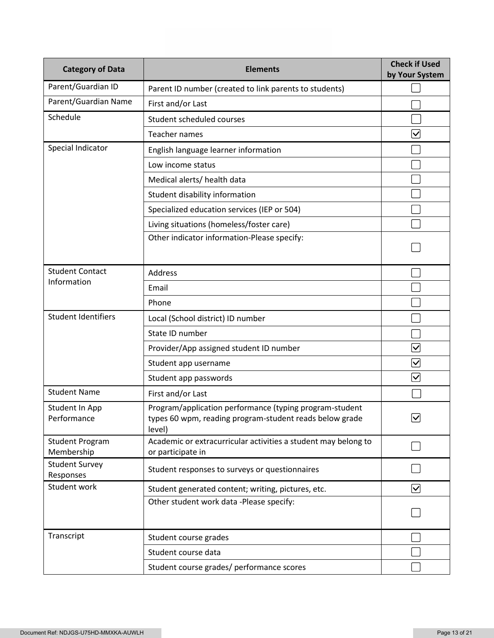| <b>Category of Data</b>              | <b>Elements</b>                                                                                                              | <b>Check if Used</b><br>by Your System |
|--------------------------------------|------------------------------------------------------------------------------------------------------------------------------|----------------------------------------|
| Parent/Guardian ID                   | Parent ID number (created to link parents to students)                                                                       |                                        |
| Parent/Guardian Name                 | First and/or Last                                                                                                            |                                        |
| Schedule                             | Student scheduled courses                                                                                                    |                                        |
|                                      | Teacher names                                                                                                                | $\overline{\mathsf{v}}$                |
| Special Indicator                    | English language learner information                                                                                         |                                        |
|                                      | Low income status                                                                                                            |                                        |
|                                      | Medical alerts/ health data                                                                                                  |                                        |
|                                      | Student disability information                                                                                               |                                        |
|                                      | Specialized education services (IEP or 504)                                                                                  |                                        |
|                                      | Living situations (homeless/foster care)                                                                                     |                                        |
|                                      | Other indicator information-Please specify:                                                                                  |                                        |
| <b>Student Contact</b>               | <b>Address</b>                                                                                                               |                                        |
| Information                          | Email                                                                                                                        |                                        |
|                                      | Phone                                                                                                                        |                                        |
| <b>Student Identifiers</b>           | Local (School district) ID number                                                                                            |                                        |
|                                      | State ID number                                                                                                              |                                        |
|                                      | Provider/App assigned student ID number                                                                                      | $\overline{\mathsf{v}}$                |
|                                      | Student app username                                                                                                         | $\bm \nabla$                           |
|                                      | Student app passwords                                                                                                        | $\blacktriangledown$                   |
| <b>Student Name</b>                  | First and/or Last                                                                                                            |                                        |
| Student In App<br>Performance        | Program/application performance (typing program-student<br>types 60 wpm, reading program-student reads below grade<br>level) | 7∕∖<br>ٽا                              |
| <b>Student Program</b><br>Membership | Academic or extracurricular activities a student may belong to<br>or participate in                                          |                                        |
| <b>Student Survey</b><br>Responses   | Student responses to surveys or questionnaires                                                                               |                                        |
| Student work                         | Student generated content; writing, pictures, etc.                                                                           | $\blacktriangledown$                   |
|                                      | Other student work data -Please specify:                                                                                     |                                        |
| Transcript                           | Student course grades                                                                                                        |                                        |
|                                      | Student course data                                                                                                          |                                        |
|                                      | Student course grades/ performance scores                                                                                    |                                        |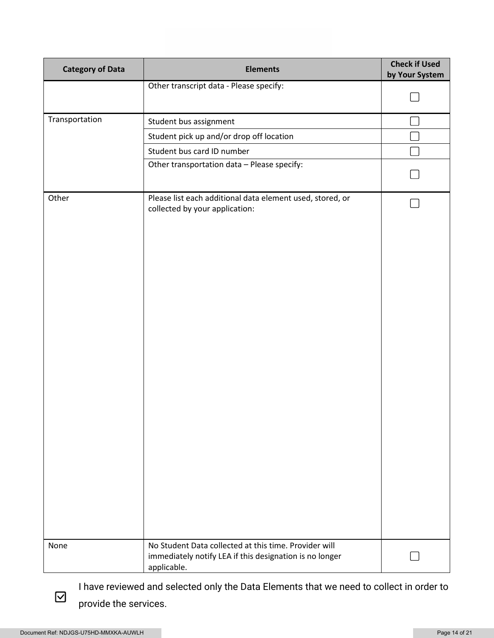| <b>Category of Data</b> | <b>Elements</b>                                                                                                                 | <b>Check if Used</b><br>by Your System |
|-------------------------|---------------------------------------------------------------------------------------------------------------------------------|----------------------------------------|
|                         | Other transcript data - Please specify:                                                                                         |                                        |
|                         |                                                                                                                                 |                                        |
| Transportation          | Student bus assignment                                                                                                          |                                        |
|                         | Student pick up and/or drop off location                                                                                        |                                        |
|                         | Student bus card ID number                                                                                                      |                                        |
|                         | Other transportation data - Please specify:                                                                                     |                                        |
| Other                   | Please list each additional data element used, stored, or<br>collected by your application:                                     |                                        |
| None                    | No Student Data collected at this time. Provider will<br>immediately notify LEA if this designation is no longer<br>applicable. |                                        |

I have reviewed and selected only the Data Elements that we need to collect in order to provide the services.

 $\boxdot$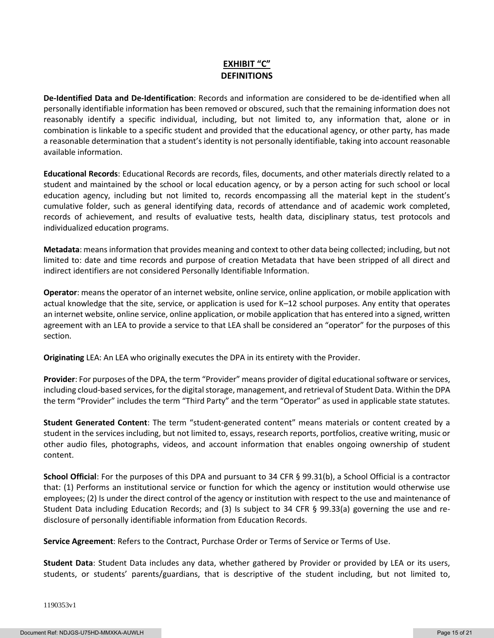# **EXHIBIT "C" DEFINITIONS**

**De-Identified Data and De-Identification**: Records and information are considered to be de-identified when all personally identifiable information has been removed or obscured, such that the remaining information does not reasonably identify a specific individual, including, but not limited to, any information that, alone or in combination is linkable to a specific student and provided that the educational agency, or other party, has made a reasonable determination that a student's identity is not personally identifiable, taking into account reasonable available information.

**Educational Records**: Educational Records are records, files, documents, and other materials directly related to a student and maintained by the school or local education agency, or by a person acting for such school or local education agency, including but not limited to, records encompassing all the material kept in the student's cumulative folder, such as general identifying data, records of attendance and of academic work completed, records of achievement, and results of evaluative tests, health data, disciplinary status, test protocols and individualized education programs.

**Metadata**: means information that provides meaning and context to other data being collected; including, but not limited to: date and time records and purpose of creation Metadata that have been stripped of all direct and indirect identifiers are not considered Personally Identifiable Information.

**Operator**: means the operator of an internet website, online service, online application, or mobile application with actual knowledge that the site, service, or application is used for K–12 school purposes. Any entity that operates an internet website, online service, online application, or mobile application that has entered into a signed, written agreement with an LEA to provide a service to that LEA shall be considered an "operator" for the purposes of this section.

**Originating** LEA: An LEA who originally executes the DPA in its entirety with the Provider.

**Provider**: For purposes of the DPA, the term "Provider" means provider of digital educational software or services, including cloud-based services, for the digital storage, management, and retrieval of Student Data. Within the DPA the term "Provider" includes the term "Third Party" and the term "Operator" as used in applicable state statutes.

**Student Generated Content**: The term "student-generated content" means materials or content created by a student in the services including, but not limited to, essays, research reports, portfolios, creative writing, music or other audio files, photographs, videos, and account information that enables ongoing ownership of student content.

**School Official**: For the purposes of this DPA and pursuant to 34 CFR § 99.31(b), a School Official is a contractor that: (1) Performs an institutional service or function for which the agency or institution would otherwise use employees; (2) Is under the direct control of the agency or institution with respect to the use and maintenance of Student Data including Education Records; and (3) Is subject to 34 CFR § 99.33(a) governing the use and redisclosure of personally identifiable information from Education Records.

**Service Agreement**: Refers to the Contract, Purchase Order or Terms of Service or Terms of Use.

**Student Data**: Student Data includes any data, whether gathered by Provider or provided by LEA or its users, students, or students' parents/guardians, that is descriptive of the student including, but not limited to,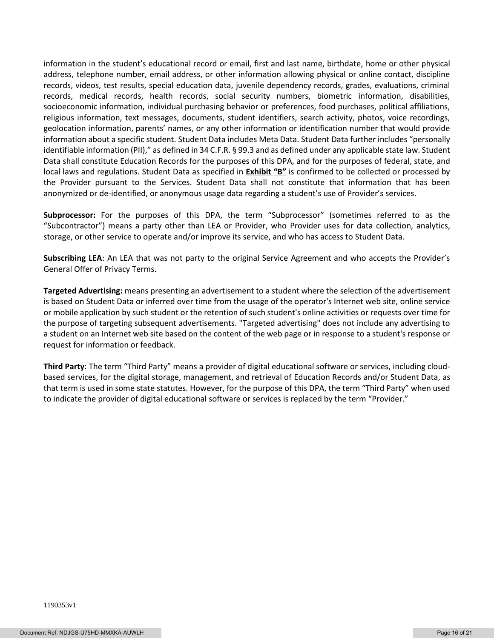information in the student's educational record or email, first and last name, birthdate, home or other physical address, telephone number, email address, or other information allowing physical or online contact, discipline records, videos, test results, special education data, juvenile dependency records, grades, evaluations, criminal records, medical records, health records, social security numbers, biometric information, disabilities, socioeconomic information, individual purchasing behavior or preferences, food purchases, political affiliations, religious information, text messages, documents, student identifiers, search activity, photos, voice recordings, geolocation information, parents' names, or any other information or identification number that would provide information about a specific student. Student Data includes Meta Data. Student Data further includes "personally identifiable information (PII)," as defined in 34 C.F.R. § 99.3 and as defined under any applicable state law. Student Data shall constitute Education Records for the purposes of this DPA, and for the purposes of federal, state, and local laws and regulations. Student Data as specified in **Exhibit "B"** is confirmed to be collected or processed by the Provider pursuant to the Services. Student Data shall not constitute that information that has been anonymized or de-identified, or anonymous usage data regarding a student's use of Provider's services.

**Subprocessor:** For the purposes of this DPA, the term "Subprocessor" (sometimes referred to as the "Subcontractor") means a party other than LEA or Provider, who Provider uses for data collection, analytics, storage, or other service to operate and/or improve its service, and who has access to Student Data.

**Subscribing LEA**: An LEA that was not party to the original Service Agreement and who accepts the Provider's General Offer of Privacy Terms.

**Targeted Advertising:** means presenting an advertisement to a student where the selection of the advertisement is based on Student Data or inferred over time from the usage of the operator's Internet web site, online service or mobile application by such student or the retention of such student's online activities or requests over time for the purpose of targeting subsequent advertisements. "Targeted advertising" does not include any advertising to a student on an Internet web site based on the content of the web page or in response to a student's response or request for information or feedback.

**Third Party**: The term "Third Party" means a provider of digital educational software or services, including cloudbased services, for the digital storage, management, and retrieval of Education Records and/or Student Data, as that term is used in some state statutes. However, for the purpose of this DPA, the term "Third Party" when used to indicate the provider of digital educational software or services is replaced by the term "Provider."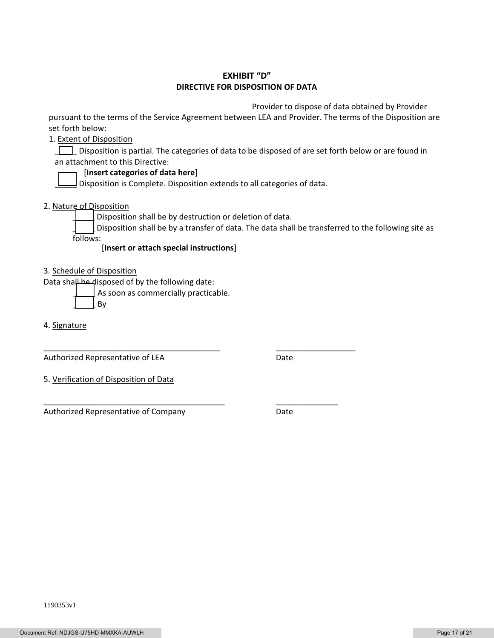### **EXHIBIT "D" DIRECTIVE FOR DISPOSITION OF DATA**

Provider to dispose of data obtained by Provider

pursuant to the terms of the Service Agreement between LEA and Provider. The terms of the Disposition are set forth below:

1. Extent of Disposition

Disposition is partial. The categories of data to be disposed of are set forth below or are found in an attachment to this Directive:

#### [**Insert categories of data here**]

 $\Box$  Disposition is Complete. Disposition extends to all categories of data.

2. Nature of Disposition

Disposition shall be by destruction or deletion of data.

\_\_\_\_\_\_\_\_\_\_\_\_\_\_\_\_\_\_\_\_\_\_\_\_\_\_\_\_\_\_\_\_\_\_\_\_\_\_\_\_ \_\_\_\_\_\_\_\_\_\_\_\_\_\_\_\_\_\_

\_\_\_\_\_\_\_\_\_\_\_\_\_\_\_\_\_\_\_\_\_\_\_\_\_\_\_\_\_\_\_\_\_\_\_\_\_\_\_\_\_ \_\_\_\_\_\_\_\_\_\_\_\_\_\_

Disposition shall be by a transfer of data. The data shall be transferred to the following site as follows:

[**Insert or attach special instructions**]

3. Schedule of Disposition

Data shall be disposed of by the following date:

As soon as commercially practicable.

\_\_\_\_\_ By

4. Signature

Authorized Representative of LEA Date

5. Verification of Disposition of Data

Authorized Representative of Company **Date**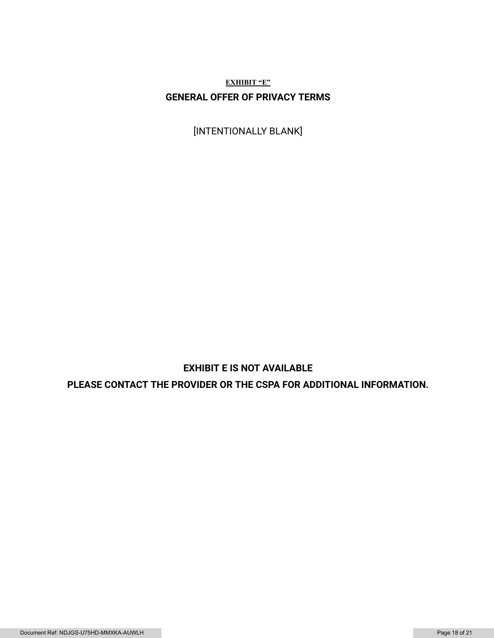**EXHIBIT "E" GENERAL OFFER OF PRIVACY TERMS**

[INTENTIONALLY BLANK]

# **EXHIBIT E IS NOT AVAILABLE**

**PLEASE CONTACT THE PROVIDER OR THE CSPA FOR ADDITIONAL INFORMATION.**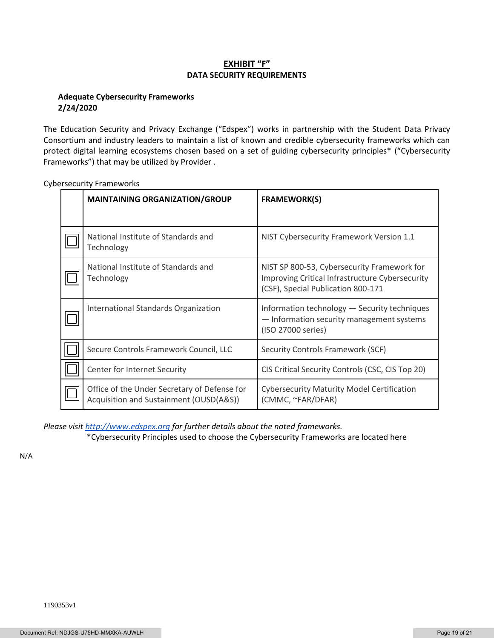### **EXHIBIT "F" DATA SECURITY REQUIREMENTS**

### **Adequate Cybersecurity Frameworks 2/24/2020**

The Education Security and Privacy Exchange ("Edspex") works in partnership with the Student Data Privacy Consortium and industry leaders to maintain a list of known and credible cybersecurity frameworks which can protect digital learning ecosystems chosen based on a set of guiding cybersecurity principles\* ("Cybersecurity Frameworks") that may be utilized by Provider .

| <b>MAINTAINING ORGANIZATION/GROUP</b>                                                   | <b>FRAMEWORK(S)</b>                                                                                                                  |
|-----------------------------------------------------------------------------------------|--------------------------------------------------------------------------------------------------------------------------------------|
|                                                                                         |                                                                                                                                      |
| National Institute of Standards and<br>Technology                                       | NIST Cybersecurity Framework Version 1.1                                                                                             |
| National Institute of Standards and<br>Technology                                       | NIST SP 800-53, Cybersecurity Framework for<br>Improving Critical Infrastructure Cybersecurity<br>(CSF), Special Publication 800-171 |
| International Standards Organization                                                    | Information technology - Security techniques<br>- Information security management systems<br>(ISO 27000 series)                      |
| Secure Controls Framework Council, LLC                                                  | Security Controls Framework (SCF)                                                                                                    |
| Center for Internet Security                                                            | CIS Critical Security Controls (CSC, CIS Top 20)                                                                                     |
| Office of the Under Secretary of Defense for<br>Acquisition and Sustainment (OUSD(A&S)) | <b>Cybersecurity Maturity Model Certification</b><br>(CMMC, ~FAR/DFAR)                                                               |

Cybersecurity Frameworks

*Please visi[t http://www.edspex.org](http://www.edspex.org/) for further details about the noted frameworks.*

\*Cybersecurity Principles used to choose the Cybersecurity Frameworks are located here

N/A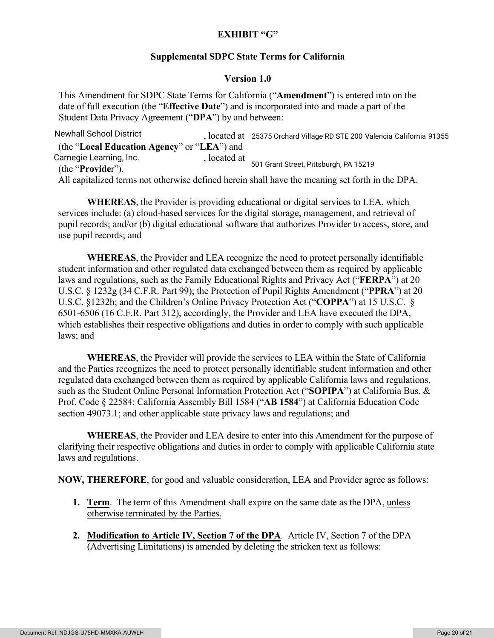# **EXHIBIT "G"**

## **Supplemental SDPC State Terms for California**

### **Version 1.0**

This Amendment for SDPC State Terms for California ("**Amendment**") is entered into on the date of full execution (the "**Effective Date**") and is incorporated into and made a part of the Student Data Privacy Agreement ("**DPA**") by and between:

, located at Newhall School District 25375 Orchard Village RD STE 200 Valencia California <sup>91355</sup> (the "**Local Education Agency**" or "**LEA**") and , located at (the "**Provide**r"). All capitalized terms not otherwise defined herein shall have the meaning set forth in the DPA. 501 Grant Street, Pittsburgh, PA 15219 Carnegie Learning, Inc.

**WHEREAS**, the Provider is providing educational or digital services to LEA, which services include: (a) cloud-based services for the digital storage, management, and retrieval of pupil records; and/or (b) digital educational software that authorizes Provider to access, store, and use pupil records; and

**WHEREAS**, the Provider and LEA recognize the need to protect personally identifiable student information and other regulated data exchanged between them as required by applicable laws and regulations, such as the Family Educational Rights and Privacy Act ("**FERPA**") at 20 U.S.C. § 1232g (34 C.F.R. Part 99); the Protection of Pupil Rights Amendment ("**PPRA**") at 20 U.S.C. §1232h; and the Children's Online Privacy Protection Act ("**COPPA**") at 15 U.S.C. § 6501-6506 (16 C.F.R. Part 312), accordingly, the Provider and LEA have executed the DPA, which establishes their respective obligations and duties in order to comply with such applicable laws; and

**WHEREAS**, the Provider will provide the services to LEA within the State of California and the Parties recognizes the need to protect personally identifiable student information and other regulated data exchanged between them as required by applicable California laws and regulations, such as the Student Online Personal Information Protection Act ("**SOPIPA**") at California Bus. & Prof. Code § 22584; California Assembly Bill 1584 ("**AB 1584**") at California Education Code section 49073.1; and other applicable state privacy laws and regulations; and

**WHEREAS**, the Provider and LEA desire to enter into this Amendment for the purpose of clarifying their respective obligations and duties in order to comply with applicable California state laws and regulations.

**NOW, THEREFORE**, for good and valuable consideration, LEA and Provider agree as follows:

- **1. Term**. The term of this Amendment shall expire on the same date as the DPA, unless otherwise terminated by the Parties.
- **2. Modification to Article IV, Section 7 of the DPA**. Article IV, Section 7 of the DPA (Advertising Limitations) is amended by deleting the stricken text as follows: